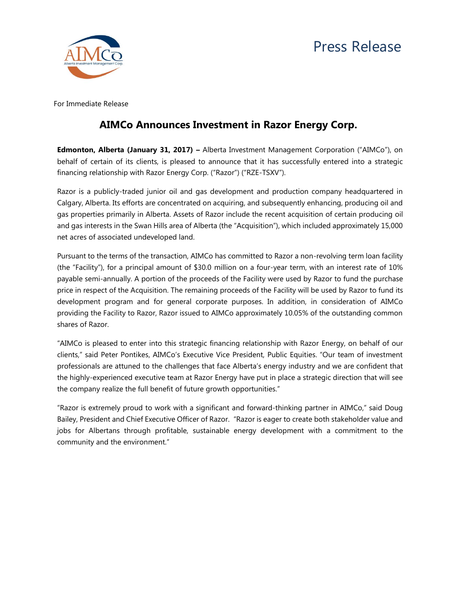



For Immediate Release

## **AIMCo Announces Investment in Razor Energy Corp.**

**Edmonton, Alberta (January 31, 2017) –** Alberta Investment Management Corporation ("AIMCo"), on behalf of certain of its clients, is pleased to announce that it has successfully entered into a strategic financing relationship with Razor Energy Corp. ("Razor") ("RZE-TSXV").

Razor is a publicly-traded junior oil and gas development and production company headquartered in Calgary, Alberta. Its efforts are concentrated on acquiring, and subsequently enhancing, producing oil and gas properties primarily in Alberta. Assets of Razor include the recent acquisition of certain producing oil and gas interests in the Swan Hills area of Alberta (the "Acquisition"), which included approximately 15,000 net acres of associated undeveloped land.

Pursuant to the terms of the transaction, AIMCo has committed to Razor a non-revolving term loan facility (the "Facility"), for a principal amount of \$30.0 million on a four-year term, with an interest rate of 10% payable semi-annually. A portion of the proceeds of the Facility were used by Razor to fund the purchase price in respect of the Acquisition. The remaining proceeds of the Facility will be used by Razor to fund its development program and for general corporate purposes. In addition, in consideration of AIMCo providing the Facility to Razor, Razor issued to AIMCo approximately 10.05% of the outstanding common shares of Razor.

"AIMCo is pleased to enter into this strategic financing relationship with Razor Energy, on behalf of our clients," said Peter Pontikes, AIMCo's Executive Vice President, Public Equities. "Our team of investment professionals are attuned to the challenges that face Alberta's energy industry and we are confident that the highly-experienced executive team at Razor Energy have put in place a strategic direction that will see the company realize the full benefit of future growth opportunities."

"Razor is extremely proud to work with a significant and forward-thinking partner in AIMCo," said Doug Bailey, President and Chief Executive Officer of Razor. "Razor is eager to create both stakeholder value and jobs for Albertans through profitable, sustainable energy development with a commitment to the community and the environment."